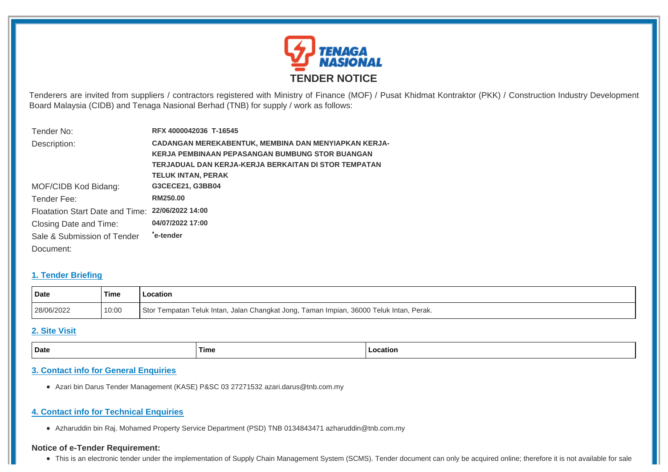

Tenderers are invited from suppliers / contractors registered with Ministry of Finance (MOF) / Pusat Khidmat Kontraktor (PKK) / Construction Industry Development Board Malaysia (CIDB) and Tenaga Nasional Berhad (TNB) for supply / work as follows:

| Tender No:                                       | RFX 4000042036 T-16545                                 |  |
|--------------------------------------------------|--------------------------------------------------------|--|
| Description:                                     | CADANGAN MEREKABENTUK, MEMBINA DAN MENYIAPKAN KERJA-   |  |
|                                                  | <b>KERJA PEMBINAAN PEPASANGAN BUMBUNG STOR BUANGAN</b> |  |
|                                                  | TERJADUAL DAN KERJA-KERJA BERKAITAN DI STOR TEMPATAN   |  |
|                                                  | <b>TELUK INTAN, PERAK</b>                              |  |
| MOF/CIDB Kod Bidang:                             | G3CECE21, G3BB04                                       |  |
| Tender Fee:                                      | RM250.00                                               |  |
| Floatation Start Date and Time: 22/06/2022 14:00 |                                                        |  |
| Closing Date and Time:                           | 04/07/2022 17:00                                       |  |
| Sale & Submission of Tender                      | *e-tender                                              |  |
| Document:                                        |                                                        |  |

#### **1. Tender Briefing**

| Date       | ˈTime | .ocation                                                                                |
|------------|-------|-----------------------------------------------------------------------------------------|
| 28/06/2022 | 10:00 | Stor Tempatan Teluk Intan, Jalan Changkat Jong, Taman Impian, 36000 Teluk Intan, Perak. |

# **2. Site Visit**

| Date | Time | Location |
|------|------|----------|
|      |      |          |

# **3. Contact info for General Enquiries**

Azari bin Darus Tender Management (KASE) P&SC 03 27271532 azari.darus@tnb.com.my

# **4. Contact info for Technical Enquiries**

Azharuddin bin Raj. Mohamed Property Service Department (PSD) TNB 0134843471 azharuddin@tnb.com.my

#### **Notice of e-Tender Requirement:**

• This is an electronic tender under the implementation of Supply Chain Management System (SCMS). Tender document can only be acquired online; therefore it is not available for sale